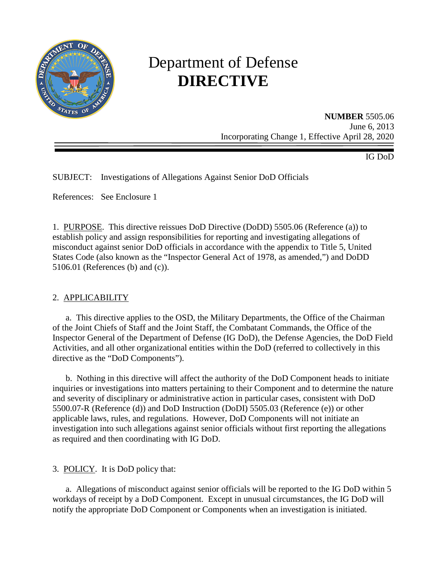

# Department of Defense **DIRECTIVE**

**NUMBER** 5505.06 June 6, 2013 Incorporating Change 1, Effective April 28, 2020

IG DoD

SUBJECT: Investigations of Allegations Against Senior DoD Officials

References: See Enclosure 1

1. PURPOSE. This directive reissues DoD Directive (DoDD) 5505.06 (Reference (a)) to establish policy and assign responsibilities for reporting and investigating allegations of misconduct against senior DoD officials in accordance with the appendix to Title 5, United States Code (also known as the "Inspector General Act of 1978, as amended,") and DoDD 5106.01 (References (b) and (c)).

# 2. APPLICABILITY

a. This directive applies to the OSD, the Military Departments, the Office of the Chairman of the Joint Chiefs of Staff and the Joint Staff, the Combatant Commands, the Office of the Inspector General of the Department of Defense (IG DoD), the Defense Agencies, the DoD Field Activities, and all other organizational entities within the DoD (referred to collectively in this directive as the "DoD Components").

 b. Nothing in this directive will affect the authority of the DoD Component heads to initiate inquiries or investigations into matters pertaining to their Component and to determine the nature and severity of disciplinary or administrative action in particular cases, consistent with DoD 5500.07-R (Reference (d)) and DoD Instruction (DoDI) 5505.03 (Reference (e)) or other applicable laws, rules, and regulations. However, DoD Components will not initiate an investigation into such allegations against senior officials without first reporting the allegations as required and then coordinating with IG DoD.

3. POLICY. It is DoD policy that:

 a. Allegations of misconduct against senior officials will be reported to the IG DoD within 5 workdays of receipt by a DoD Component. Except in unusual circumstances, the IG DoD will notify the appropriate DoD Component or Components when an investigation is initiated.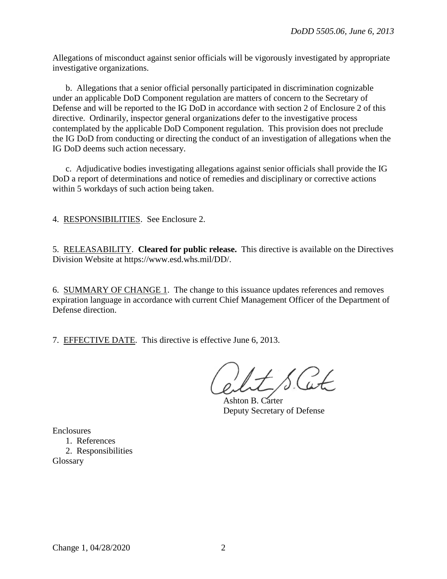Allegations of misconduct against senior officials will be vigorously investigated by appropriate investigative organizations.

 b. Allegations that a senior official personally participated in discrimination cognizable under an applicable DoD Component regulation are matters of concern to the Secretary of Defense and will be reported to the IG DoD in accordance with section 2 of Enclosure 2 of this directive. Ordinarily, inspector general organizations defer to the investigative process contemplated by the applicable DoD Component regulation. This provision does not preclude the IG DoD from conducting or directing the conduct of an investigation of allegations when the IG DoD deems such action necessary.

 c. Adjudicative bodies investigating allegations against senior officials shall provide the IG DoD a report of determinations and notice of remedies and disciplinary or corrective actions within 5 workdays of such action being taken.

4. RESPONSIBILITIES. See Enclosure 2.

5. RELEASABILITY. **Cleared for public release.** This directive is available on the Directives Division Website at https://www.esd.whs.mil/DD/.

6. SUMMARY OF CHANGE 1. The change to this issuance updates references and removes expiration language in accordance with current Chief Management Officer of the Department of Defense direction.

7. EFFECTIVE DATE. This directive is effective June 6, 2013.

Ashton B. Carter Deputy Secretary of Defense

Enclosures

1. References 2. Responsibilities Glossary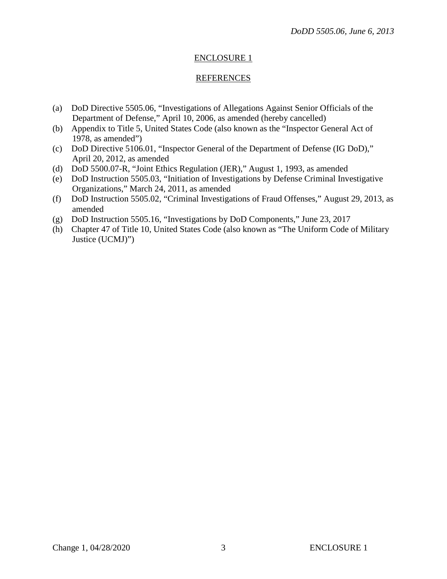# ENCLOSURE 1

# REFERENCES

- (a) DoD Directive 5505.06, "Investigations of Allegations Against Senior Officials of the Department of Defense," April 10, 2006, as amended (hereby cancelled)
- (b) Appendix to Title 5, United States Code (also known as the "Inspector General Act of 1978, as amended")
- (c) DoD Directive 5106.01, "Inspector General of the Department of Defense (IG DoD)," April 20, 2012, as amended
- (d) DoD 5500.07-R, "Joint Ethics Regulation (JER)," August 1, 1993, as amended
- (e) DoD Instruction 5505.03, "Initiation of Investigations by Defense Criminal Investigative Organizations," March 24, 2011, as amended
- (f) DoD Instruction 5505.02, "Criminal Investigations of Fraud Offenses," August 29, 2013, as amended
- (g) DoD Instruction 5505.16, "Investigations by DoD Components," June 23, 2017
- (h) Chapter 47 of Title 10, United States Code (also known as "The Uniform Code of Military Justice (UCMJ)")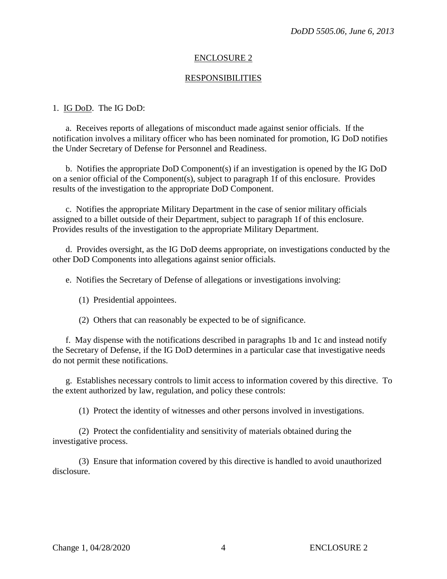# ENCLOSURE 2

# RESPONSIBILITIES

# 1. IG DoD. The IG DoD:

a. Receives reports of allegations of misconduct made against senior officials. If the notification involves a military officer who has been nominated for promotion, IG DoD notifies the Under Secretary of Defense for Personnel and Readiness.

 b. Notifies the appropriate DoD Component(s) if an investigation is opened by the IG DoD on a senior official of the Component(s), subject to paragraph 1f of this enclosure. Provides results of the investigation to the appropriate DoD Component.

c. Notifies the appropriate Military Department in the case of senior military officials assigned to a billet outside of their Department, subject to paragraph 1f of this enclosure. Provides results of the investigation to the appropriate Military Department.

 d. Provides oversight, as the IG DoD deems appropriate, on investigations conducted by the other DoD Components into allegations against senior officials.

e. Notifies the Secretary of Defense of allegations or investigations involving:

(1) Presidential appointees.

(2) Others that can reasonably be expected to be of significance.

f. May dispense with the notifications described in paragraphs 1b and 1c and instead notify the Secretary of Defense, if the IG DoD determines in a particular case that investigative needs do not permit these notifications.

g. Establishes necessary controls to limit access to information covered by this directive. To the extent authorized by law, regulation, and policy these controls:

(1) Protect the identity of witnesses and other persons involved in investigations.

(2) Protect the confidentiality and sensitivity of materials obtained during the investigative process.

(3) Ensure that information covered by this directive is handled to avoid unauthorized disclosure.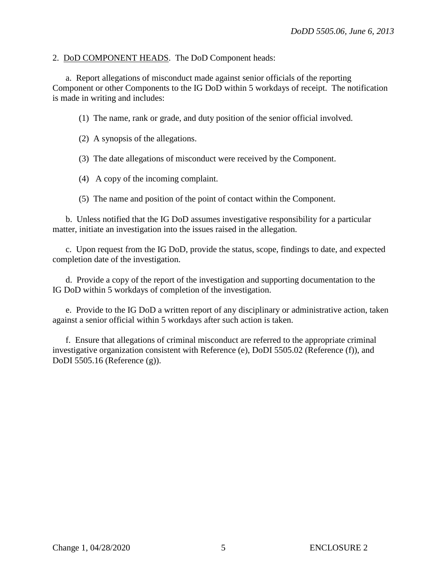#### 2. DoD COMPONENT HEADS. The DoD Component heads:

a. Report allegations of misconduct made against senior officials of the reporting Component or other Components to the IG DoD within 5 workdays of receipt. The notification is made in writing and includes:

(1) The name, rank or grade, and duty position of the senior official involved.

(2) A synopsis of the allegations.

(3) The date allegations of misconduct were received by the Component.

(4) A copy of the incoming complaint.

(5) The name and position of the point of contact within the Component.

 b. Unless notified that the IG DoD assumes investigative responsibility for a particular matter, initiate an investigation into the issues raised in the allegation.

c. Upon request from the IG DoD, provide the status, scope, findings to date, and expected completion date of the investigation.

 d. Provide a copy of the report of the investigation and supporting documentation to the IG DoD within 5 workdays of completion of the investigation.

e. Provide to the IG DoD a written report of any disciplinary or administrative action, taken against a senior official within 5 workdays after such action is taken.

f. Ensure that allegations of criminal misconduct are referred to the appropriate criminal investigative organization consistent with Reference (e), DoDI 5505.02 (Reference (f)), and DoDI 5505.16 (Reference (g)).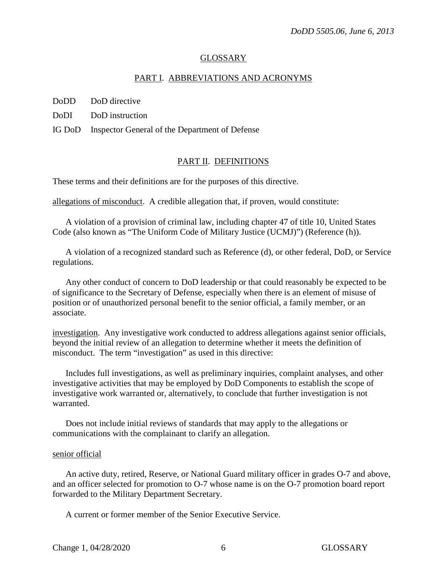#### GLOSSARY

#### PART I. ABBREVIATIONS AND ACRONYMS

DoDD DoD directive

DoDI DoD instruction

IG DoD Inspector General of the Department of Defense

#### PART II. DEFINITIONS

These terms and their definitions are for the purposes of this directive.

allegations of misconduct. A credible allegation that, if proven, would constitute:

 A violation of a provision of criminal law, including chapter 47 of title 10, United States Code (also known as "The Uniform Code of Military Justice (UCMJ)") (Reference (h)).

 A violation of a recognized standard such as Reference (d), or other federal, DoD, or Service regulations.

 Any other conduct of concern to DoD leadership or that could reasonably be expected to be of significance to the Secretary of Defense, especially when there is an element of misuse of position or of unauthorized personal benefit to the senior official, a family member, or an associate.

investigation. Any investigative work conducted to address allegations against senior officials, beyond the initial review of an allegation to determine whether it meets the definition of misconduct. The term "investigation" as used in this directive:

Includes full investigations, as well as preliminary inquiries, complaint analyses, and other investigative activities that may be employed by DoD Components to establish the scope of investigative work warranted or, alternatively, to conclude that further investigation is not warranted.

Does not include initial reviews of standards that may apply to the allegations or communications with the complainant to clarify an allegation.

#### senior official

An active duty, retired, Reserve, or National Guard military officer in grades O-7 and above, and an officer selected for promotion to O-7 whose name is on the O-7 promotion board report forwarded to the Military Department Secretary.

A current or former member of the Senior Executive Service.